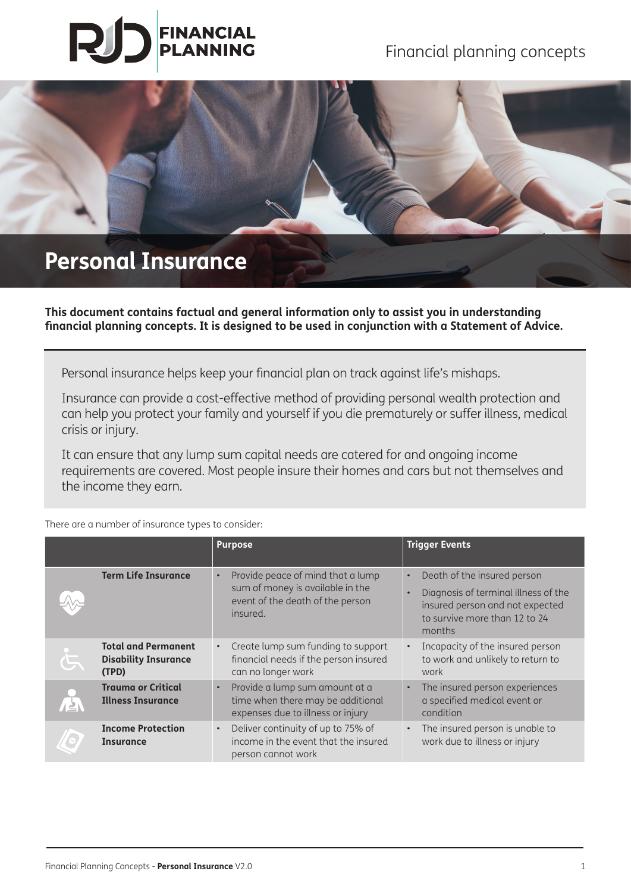# **FINANCIAL PLANNING**

Financial planning concepts



**This document contains factual and general information only to assist you in understanding financial planning concepts. It is designed to be used in conjunction with a Statement of Advice.** 

Personal insurance helps keep your financial plan on track against life's mishaps.

Insurance can provide a cost-effective method of providing personal wealth protection and can help you protect your family and yourself if you die prematurely or suffer illness, medical crisis or injury.

It can ensure that any lump sum capital needs are catered for and ongoing income requirements are covered. Most people insure their homes and cars but not themselves and the income they earn.

**Purpose Trigger Events Term Life Insurance** • Provide peace of mind that a lump sum of money is available in the event of the death of the person insured. • Death of the insured person • Diagnosis of terminal illness of the insured person and not expected to survive more than 12 to 24 months **Total and Permanent Disability Insurance (TPD)** • Create lump sum funding to support financial needs if the person insured can no longer work • Incapacity of the insured person to work and unlikely to return to work **Trauma or Critical Illness Insurance** • Provide a lump sum amount at a time when there may be additional expenses due to illness or injury The insured person experiences a specified medical event or condition **Income Protection Insurance** • Deliver continuity of up to 75% of income in the event that the insured person cannot work • The insured person is unable to work due to illness or injury

There are a number of insurance types to consider: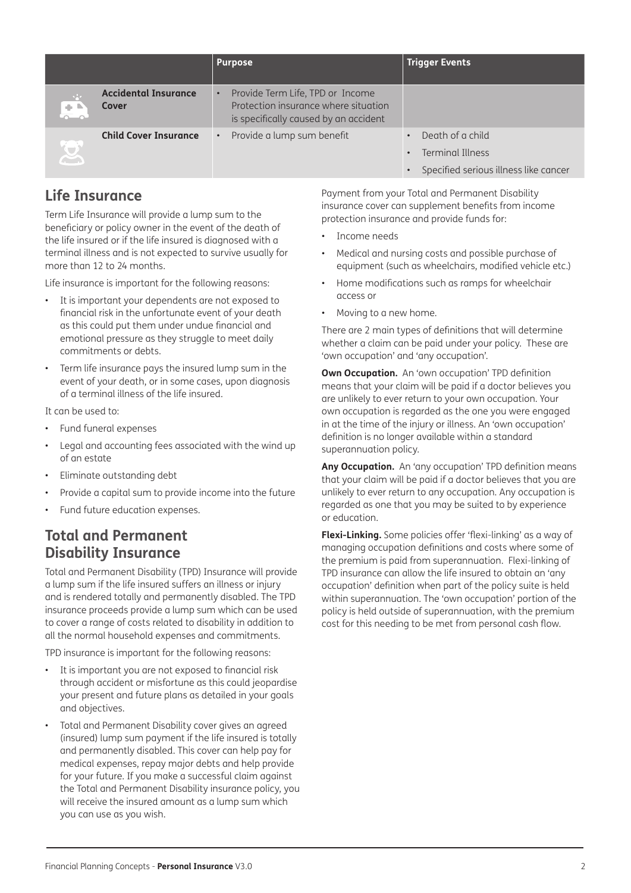|           |                                      | <b>Purpose</b>                                                                                                    | <b>Trigger Events</b>                                                                |
|-----------|--------------------------------------|-------------------------------------------------------------------------------------------------------------------|--------------------------------------------------------------------------------------|
| $+$       | <b>Accidental Insurance</b><br>Cover | Provide Term Life, TPD or Income<br>Protection insurance where situation<br>is specifically caused by an accident |                                                                                      |
| <b>SC</b> | <b>Child Cover Insurance</b>         | Provide a lump sum benefit                                                                                        | Death of a child<br><b>Terminal Illness</b><br>Specified serious illness like cancer |

#### **Life Insurance**

Term Life Insurance will provide a lump sum to the beneficiary or policy owner in the event of the death of the life insured or if the life insured is diagnosed with a terminal illness and is not expected to survive usually for more than 12 to 24 months.

Life insurance is important for the following reasons:

- It is important your dependents are not exposed to financial risk in the unfortunate event of your death as this could put them under undue financial and emotional pressure as they struggle to meet daily commitments or debts.
- Term life insurance pays the insured lump sum in the event of your death, or in some cases, upon diagnosis of a terminal illness of the life insured.

It can be used to:

- Fund funeral expenses
- Legal and accounting fees associated with the wind up of an estate
- Eliminate outstanding debt
- Provide a capital sum to provide income into the future
- Fund future education expenses.

#### **Total and Permanent Disability Insurance**

Total and Permanent Disability (TPD) Insurance will provide a lump sum if the life insured suffers an illness or injury and is rendered totally and permanently disabled. The TPD insurance proceeds provide a lump sum which can be used to cover a range of costs related to disability in addition to all the normal household expenses and commitments.

TPD insurance is important for the following reasons:

- It is important you are not exposed to financial risk through accident or misfortune as this could jeopardise your present and future plans as detailed in your goals and objectives.
- Total and Permanent Disability cover gives an agreed (insured) lump sum payment if the life insured is totally and permanently disabled. This cover can help pay for medical expenses, repay major debts and help provide for your future. If you make a successful claim against the Total and Permanent Disability insurance policy, you will receive the insured amount as a lump sum which you can use as you wish.

Payment from your Total and Permanent Disability insurance cover can supplement benefits from income protection insurance and provide funds for:

- Income needs
- Medical and nursing costs and possible purchase of equipment (such as wheelchairs, modified vehicle etc.)
- Home modifications such as ramps for wheelchair access or
- Moving to a new home.

There are 2 main types of definitions that will determine whether a claim can be paid under your policy. These are 'own occupation' and 'any occupation'.

**Own Occupation.** An 'own occupation' TPD definition means that your claim will be paid if a doctor believes you are unlikely to ever return to your own occupation. Your own occupation is regarded as the one you were engaged in at the time of the injury or illness. An 'own occupation' definition is no longer available within a standard superannuation policy.

**Any Occupation.** An 'any occupation' TPD definition means that your claim will be paid if a doctor believes that you are unlikely to ever return to any occupation. Any occupation is regarded as one that you may be suited to by experience or education.

**Flexi-Linking.** Some policies offer 'flexi-linking' as a way of managing occupation definitions and costs where some of the premium is paid from superannuation. Flexi-linking of TPD insurance can allow the life insured to obtain an 'any occupation' definition when part of the policy suite is held within superannuation. The 'own occupation' portion of the policy is held outside of superannuation, with the premium cost for this needing to be met from personal cash flow.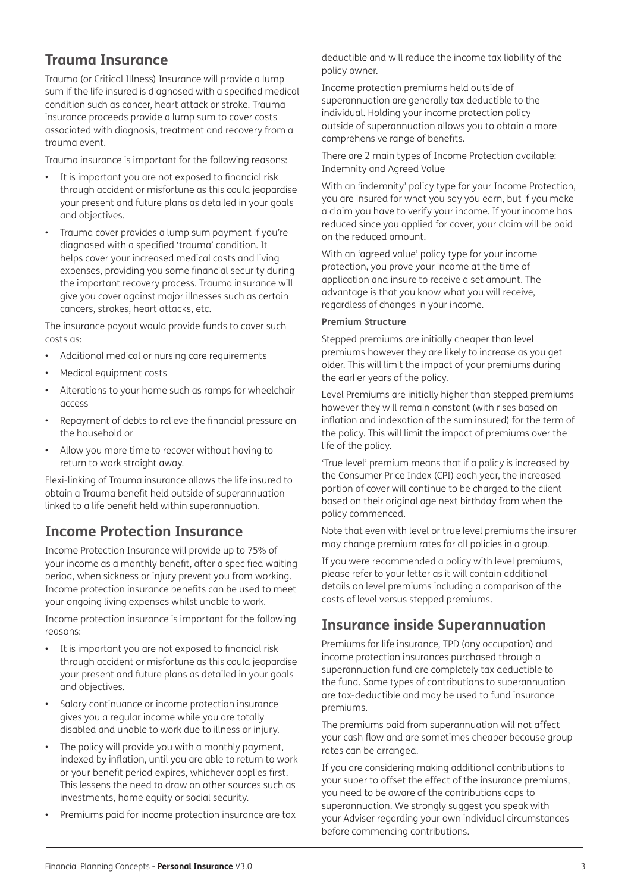## **Trauma Insurance**

Trauma (or Critical Illness) Insurance will provide a lump sum if the life insured is diagnosed with a specified medical condition such as cancer, heart attack or stroke. Trauma insurance proceeds provide a lump sum to cover costs associated with diagnosis, treatment and recovery from a trauma event.

Trauma insurance is important for the following reasons:

- It is important you are not exposed to financial risk through accident or misfortune as this could jeopardise your present and future plans as detailed in your goals and objectives.
- Trauma cover provides a lump sum payment if you're diagnosed with a specified 'trauma' condition. It helps cover your increased medical costs and living expenses, providing you some financial security during the important recovery process. Trauma insurance will give you cover against major illnesses such as certain cancers, strokes, heart attacks, etc.

The insurance payout would provide funds to cover such costs as:

- Additional medical or nursing care requirements
- Medical equipment costs
- Alterations to your home such as ramps for wheelchair access
- Repayment of debts to relieve the financial pressure on the household or
- Allow you more time to recover without having to return to work straight away.

Flexi-linking of Trauma insurance allows the life insured to obtain a Trauma benefit held outside of superannuation linked to a life benefit held within superannuation.

### **Income Protection Insurance**

Income Protection Insurance will provide up to 75% of your income as a monthly benefit, after a specified waiting period, when sickness or injury prevent you from working. Income protection insurance benefits can be used to meet your ongoing living expenses whilst unable to work.

Income protection insurance is important for the following reasons:

- It is important you are not exposed to financial risk through accident or misfortune as this could jeopardise your present and future plans as detailed in your goals and objectives.
- Salary continuance or income protection insurance gives you a regular income while you are totally disabled and unable to work due to illness or injury.
- The policy will provide you with a monthly payment, indexed by inflation, until you are able to return to work or your benefit period expires, whichever applies first. This lessens the need to draw on other sources such as investments, home equity or social security.
- Premiums paid for income protection insurance are tax

deductible and will reduce the income tax liability of the policy owner.

Income protection premiums held outside of superannuation are generally tax deductible to the individual. Holding your income protection policy outside of superannuation allows you to obtain a more comprehensive range of benefits.

There are 2 main types of Income Protection available: Indemnity and Agreed Value

With an 'indemnity' policy type for your Income Protection, you are insured for what you say you earn, but if you make a claim you have to verify your income. If your income has reduced since you applied for cover, your claim will be paid on the reduced amount.

With an 'agreed value' policy type for your income protection, you prove your income at the time of application and insure to receive a set amount. The advantage is that you know what you will receive, regardless of changes in your income.

#### **Premium Structure**

Stepped premiums are initially cheaper than level premiums however they are likely to increase as you get older. This will limit the impact of your premiums during the earlier years of the policy.

Level Premiums are initially higher than stepped premiums however they will remain constant (with rises based on inflation and indexation of the sum insured) for the term of the policy. This will limit the impact of premiums over the life of the policy.

'True level' premium means that if a policy is increased by the Consumer Price Index (CPI) each year, the increased portion of cover will continue to be charged to the client based on their original age next birthday from when the policy commenced.

Note that even with level or true level premiums the insurer may change premium rates for all policies in a group.

If you were recommended a policy with level premiums, please refer to your letter as it will contain additional details on level premiums including a comparison of the costs of level versus stepped premiums.

### **Insurance inside Superannuation**

Premiums for life insurance, TPD (any occupation) and income protection insurances purchased through a superannuation fund are completely tax deductible to the fund. Some types of contributions to superannuation are tax-deductible and may be used to fund insurance premiums.

The premiums paid from superannuation will not affect your cash flow and are sometimes cheaper because group rates can be arranged.

If you are considering making additional contributions to your super to offset the effect of the insurance premiums, you need to be aware of the contributions caps to superannuation. We strongly suggest you speak with your Adviser regarding your own individual circumstances before commencing contributions.